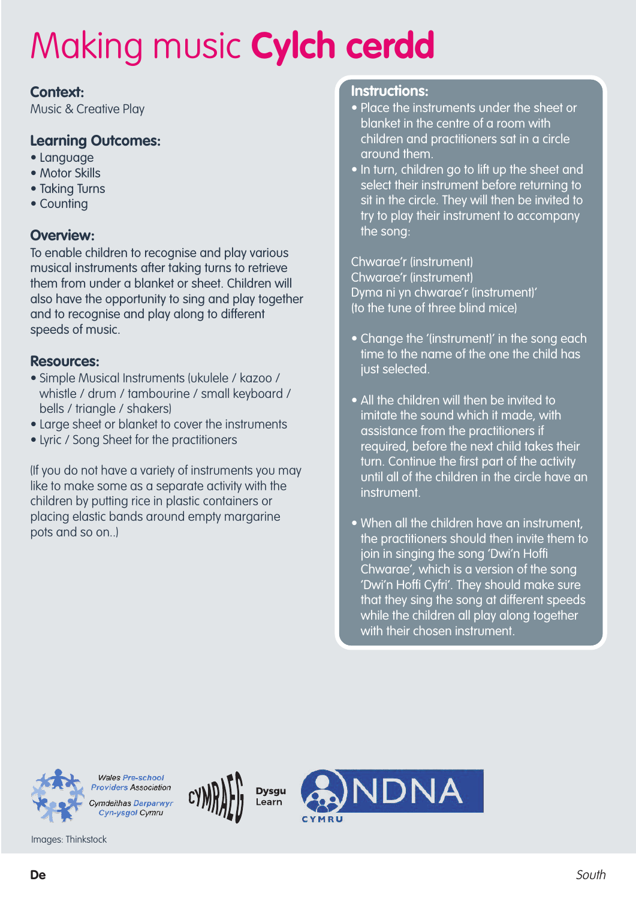### **Context:**

Music & Creative Play

### **Learning Outcomes:**

- Language
- Motor Skills
- Taking Turns
- Counting

### **Overview:**

To enable children to recognise and play various musical instruments after taking turns to retrieve them from under a blanket or sheet. Children will also have the opportunity to sing and play together and to recognise and play along to different speeds of music.

#### **Resources:**

- Simple Musical Instruments (ukulele / kazoo / whistle / drum / tambourine / small keyboard / bells / triangle / shakers)
- Large sheet or blanket to cover the instruments
- Lyric / Song Sheet for the practitioners

(If you do not have a variety of instruments you may like to make some as a separate activity with the children by putting rice in plastic containers or placing elastic bands around empty margarine pots and so on..)

#### **Instructions:**

- Place the instruments under the sheet or blanket in the centre of a room with children and practitioners sat in a circle around them.
- In turn, children go to lift up the sheet and select their instrument before returning to sit in the circle. They will then be invited to try to play their instrument to accompany the song:

Chwarae'r (instrument) Chwarae'r (instrument) Dyma ni yn chwarae'r (instrument)' (to the tune of three blind mice)

- Change the '(instrument)' in the song each time to the name of the one the child has just selected.
- All the children will then be invited to imitate the sound which it made, with assistance from the practitioners if required, before the next child takes their turn. Continue the first part of the activity until all of the children in the circle have an instrument.
- When all the children have an instrument, the practitioners should then invite them to join in singing the song 'Dwi'n Hoffi Chwarae', which is a version of the song 'Dwi'n Hoffi Cyfri'. They should make sure that they sing the song at different speeds while the children all play along together with their chosen instrument.

NDNA

**Dysgu** 

Learn



**Providers Association** Cymdeithas Darparwyr Cyn-ysgol Cymru

Wales Pre-school

Images: Thinkstock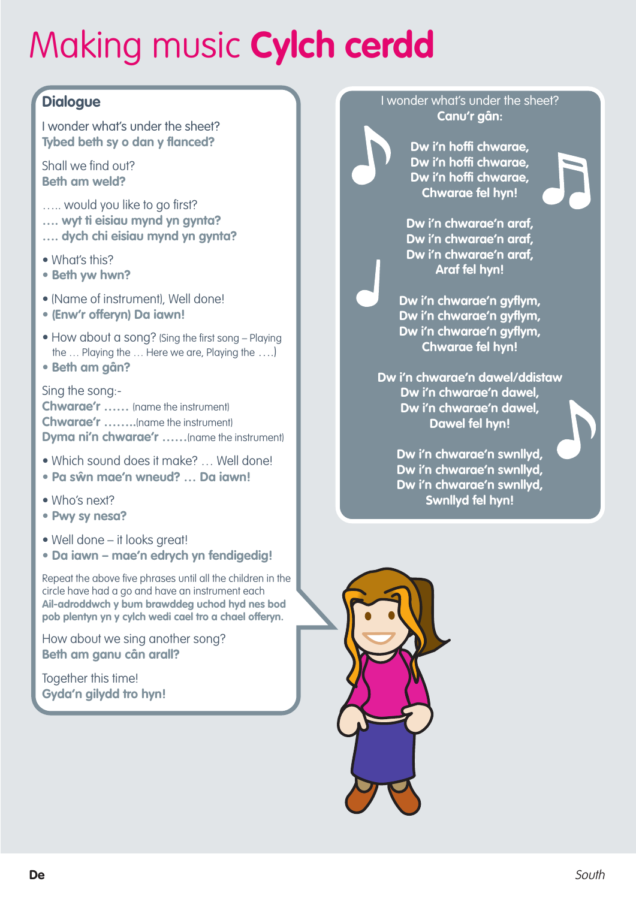## **Dialogue**

I wonder what's under the sheet? **Tybed beth sy o dan y flanced?**

Shall we find out? **Beth am weld?**

- ..... would you like to go first?
- **…. wyt ti eisiau mynd yn gynta?**
- **…. dych chi eisiau mynd yn gynta?**
- What's this?
- **• Beth yw hwn?**
- (Name of instrument), Well done!
- **• (Enw'r offeryn) Da iawn!**
- How about a song? (Sing the first song Playing the … Playing the … Here we are, Playing the ….)
- **• Beth am gân?**

Sing the song:- **Chwarae'r ……** (name the instrument)

**Chwarae'r ……..**(name the instrument) **Dyma ni'n chwarae'r ……**(name the instrument)

- Which sound does it make? … Well done!
- **• Pa sŵn mae'n wneud? … Da iawn!**
- Who's next?
- **• Pwy sy nesa?**
- Well done it looks great!
- **• Da iawn – mae'n edrych yn fendigedig!**

Repeat the above five phrases until all the children in the circle have had a go and have an instrument each **Ail-adroddwch y bum brawddeg uchod hyd nes bod pob plentyn yn y cylch wedi cael tro a chael offeryn.**

How about we sing another song? **Beth am ganu cân arall?**

Together this time! **Gyda'n gilydd tro hyn!**

#### I wonder what's under the sheet? **Canu'r gân:**

**Dw i'n hoffi chwarae, Dw i'n hoffi chwarae, Dw i'n hoffi chwarae, Chwarae fel hyn!**

**Dw i'n chwarae'n araf, Dw i'n chwarae'n araf, Dw i'n chwarae'n araf, Araf fel hyn!**

**Dw i'n chwarae'n gyflym, Dw i'n chwarae'n gyflym, Dw i'n chwarae'n gyflym, Chwarae fel hyn!**

**Dw i'n chwarae'n dawel/ddistaw Dw i'n chwarae'n dawel, Dw i'n chwarae'n dawel, Dawel fel hyn!**

> **Dw i'n chwarae'n swnllyd, Dw i'n chwarae'n swnllyd, Dw i'n chwarae'n swnllyd, Swnllyd fel hyn!**

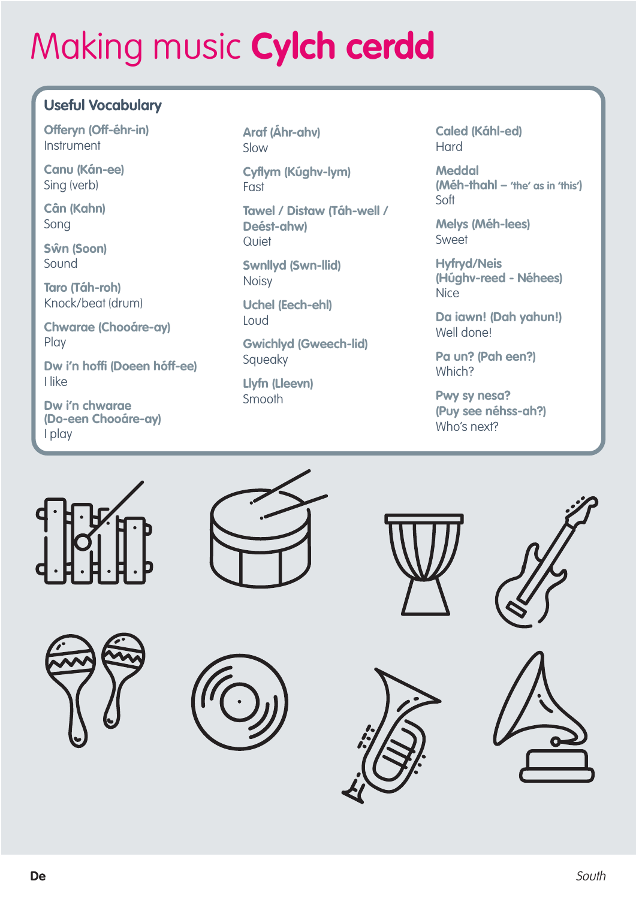## **Useful Vocabulary**

**Offeryn (Off-éhr-in) Instrument** 

**Canu (Kán-ee)** Sing (verb)

**Cân (Kahn)** Song

**Sŵn (Soon)** Sound

**Taro (Táh-roh)** Knock/beat (drum)

**Chwarae (Chooáre-ay)** Play

**Dw i'n hoffi (Doeen hóff-ee)** I like

**Dw i'n chwarae (Do-een Chooáre-ay)** I play

**Araf (Áhr-ahv)** Slow

**Cyflym (Kúghv-lym)** Fast

**Tawel / Distaw (Táh-well / Deést-ahw) Quiet** 

**Swnllyd (Swn-llid)** Noisy

**Uchel (Eech-ehl)** Loud

**Gwichlyd (Gweech-lid)** Squeaky

**Llyfn (Lleevn)** Smooth

**Caled (Káhl-ed)** Hard

**Meddal (Méh-thahl – 'the' as in 'this')** Soft

**Melys (Méh-lees)** Sweet

**Hyfryd/Neis (Húghv-reed - Néhees) Nice** 

**Da iawn! (Dah yahun!)** Well done!

**Pa un? (Pah een?)** Which?

**Pwy sy nesa? (Puy see néhss-ah?)** Who's next?















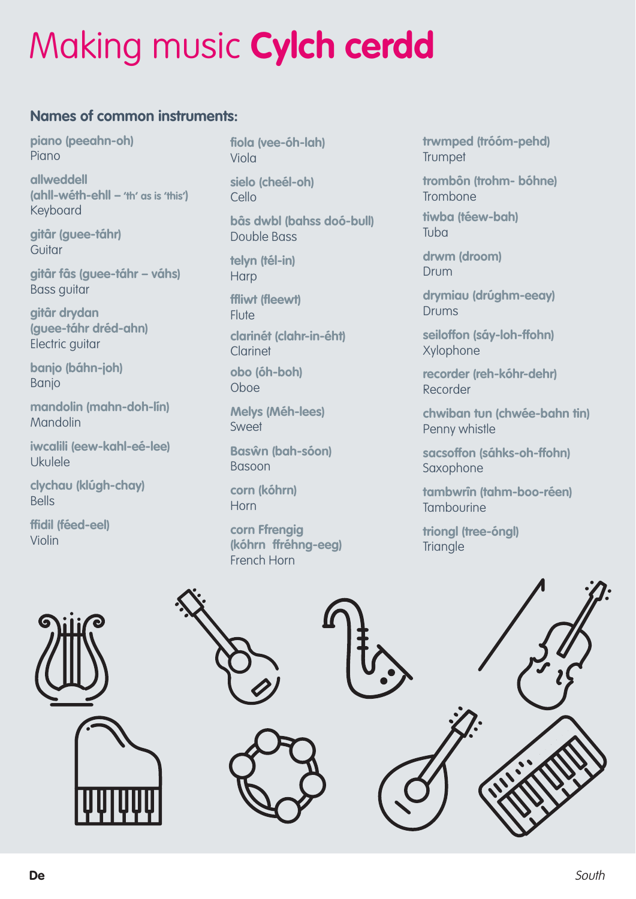### **Names of common instruments:**

**piano (peeahn-oh)** Piano

**allweddell (ahll-wéth-ehll – 'th' as is 'this')** Keyboard

**gitâr (guee-táhr)** Guitar

**gitâr fâs (guee-táhr – váhs)** Bass guitar

**gitâr drydan (guee-táhr dréd-ahn)** Electric guitar

**banjo (báhn-joh)** Banjo

**mandolin (mahn-doh-lín)** Mandolin

**iwcalili (eew-kahl-eé-lee)** Ukulele

**clychau (klúgh-chay)** Bells

**ffidil (féed-eel)** Violin

**fiola (vee-óh-lah)** Viola

**sielo (cheél-oh)** Cello

**bâs dwbl (bahss doó-bull)** Double Bass

**telyn (tél-in) Harp** 

**ffliwt (fleewt) Flute clarinét (clahr-in-éht)** Clarinet **obo (óh-boh)**

Oboe

**Melys (Méh-lees)** Sweet

**Basŵn (bah-sóon)** Basoon

**corn (kóhrn)** Horn

**corn Ffrengig (kóhrn ffréhng-eeg)** French Horn

**trwmped (tróóm-pehd) Trumpet** 

**trombôn (trohm- bóhne)** Trombone

**tiwba (téew-bah)** Tuba

**drwm (droom)** Drum

**drymiau (drúghm-eeay)** Drums

**seiloffon (sáy-loh-ffohn)** Xylophone

**recorder (reh-kóhr-dehr)** Recorder

**chwiban tun (chwée-bahn tin)** Penny whistle

**sacsoffon (sáhks-oh-ffohn)** Saxophone

**tambwrîn (tahm-boo-réen) Tambourine** 

**triongl (tree-óngl) Triangle**